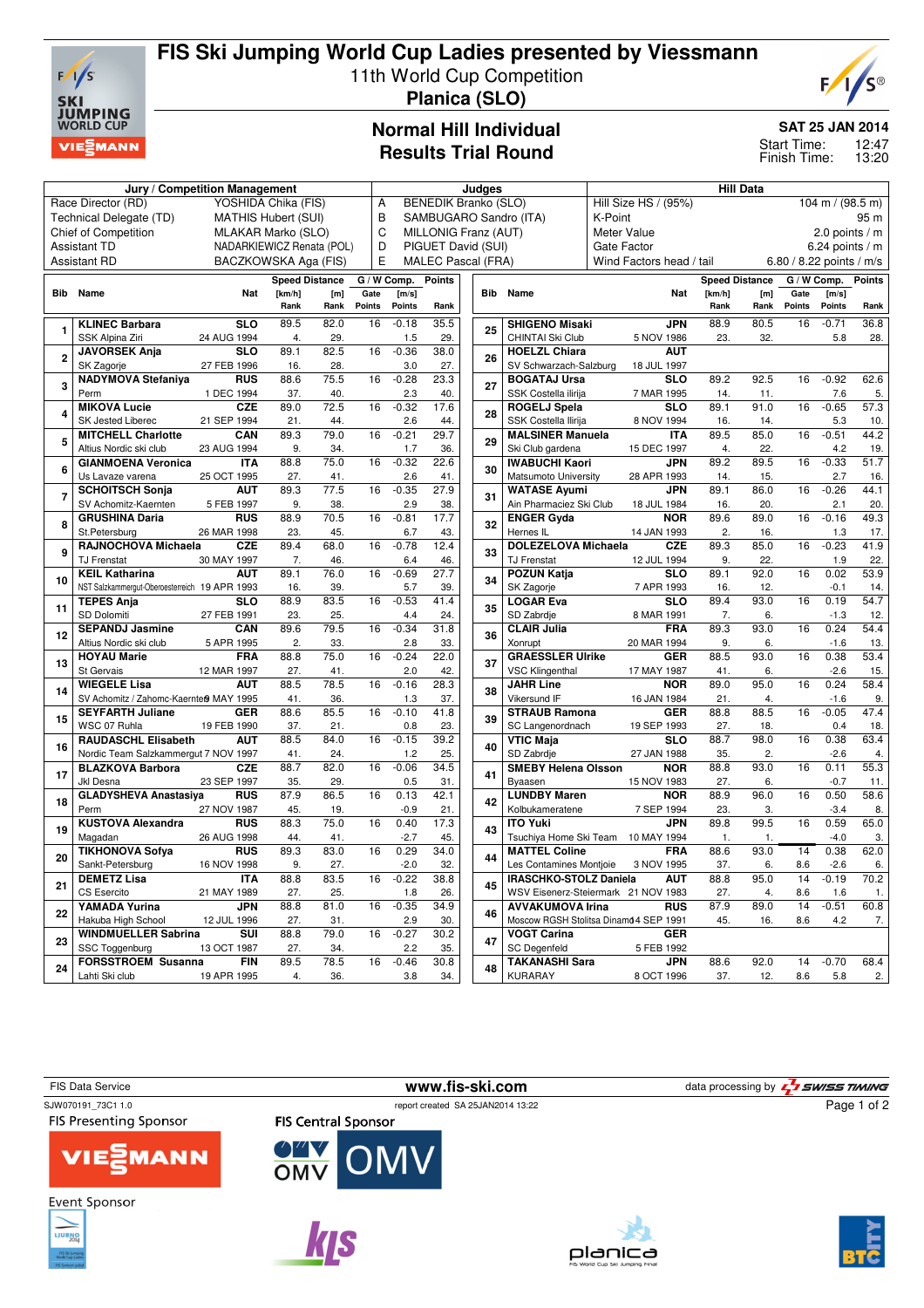

# **FIS Ski Jumping World Cup Ladies presented by Viessmann**

11th World Cup Competition

**Planica (SLO)**

# C®

## **Normal Hill Individual Results Trial Round**

#### **SAT 25 JAN 2014**

12:47 Start Time:

13:20 Finish Time:

| Jury / Competition Management                     |                                               |                           |                          |             |                                                     |                                                       | Judges        |  |          |                                           | <b>Hill Data</b>                           |                |                       |                          |         |               |
|---------------------------------------------------|-----------------------------------------------|---------------------------|--------------------------|-------------|-----------------------------------------------------|-------------------------------------------------------|---------------|--|----------|-------------------------------------------|--------------------------------------------|----------------|-----------------------|--------------------------|---------|---------------|
| YOSHIDA Chika (FIS)<br>Race Director (RD)         |                                               |                           |                          |             |                                                     | <b>BENEDIK Branko (SLO)</b><br>A                      |               |  |          |                                           | Hill Size HS / (95%)<br>104 m / $(98.5 m)$ |                |                       |                          |         |               |
| Technical Delegate (TD)<br>MATHIS Hubert (SUI)    |                                               |                           |                          |             | B<br>SAMBUGARO Sandro (ITA)                         |                                                       |               |  |          | K-Point                                   |                                            |                |                       |                          | 95 m    |               |
| <b>Chief of Competition</b><br>MLAKAR Marko (SLO) |                                               |                           |                          |             | $\mathsf{C}$<br>MILLONIG Franz (AUT)<br>Meter Value |                                                       |               |  |          |                                           |                                            |                |                       | 2.0 points $/m$          |         |               |
| NADARKIEWICZ Renata (POL)<br><b>Assistant TD</b>  |                                               |                           |                          | D           | PIGUET David (SUI)<br><b>Gate Factor</b>            |                                                       |               |  |          |                                           | 6.24 points / m                            |                |                       |                          |         |               |
| <b>Assistant RD</b><br>BACZKOWSKA Aga (FIS)       |                                               |                           |                          | E           |                                                     | <b>MALEC Pascal (FRA)</b><br>Wind Factors head / tail |               |  |          |                                           |                                            |                |                       | 6.80 / 8.22 points / m/s |         |               |
| <b>Speed Distance</b>                             |                                               |                           |                          |             |                                                     | G / W Comp.                                           | <b>Points</b> |  |          |                                           |                                            |                | <b>Speed Distance</b> | G / W Comp.              |         | <b>Points</b> |
| Bib Name<br>Nat<br>[km/h]<br>[m]                  |                                               |                           |                          | Gate        | [m/s]                                               |                                                       |               |  | Bib Name | Nat                                       | [km/h]                                     | [m]            | Gate                  | [m/s]                    |         |               |
|                                                   |                                               |                           | Rank                     | Rank        | Points                                              | Points                                                | Rank          |  |          |                                           |                                            | Rank           | Rank                  | Points                   | Points  | Rank          |
|                                                   |                                               | $\overline{\text{SLO}}$   | 89.5                     |             | 16                                                  |                                                       | 35.5          |  |          |                                           | <b>JPN</b>                                 | 88.9           | 80.5                  | 16                       | $-0.71$ | 36.8          |
| 1                                                 | <b>KLINEC Barbara</b>                         |                           |                          | 82.0<br>29. |                                                     | $-0.18$                                               |               |  | 25       | <b>SHIGENO Misaki</b><br>CHINTAI Ski Club |                                            |                |                       |                          |         |               |
|                                                   | SSK Alpina Ziri<br><b>JAVORSEK Anja</b>       | 24 AUG 1994<br><b>SLO</b> | $\overline{4}$ .<br>89.1 | 82.5        | 16                                                  | 1.5<br>$-0.36$                                        | 29.           |  |          | <b>HOELZL Chiara</b>                      | 5 NOV 1986<br><b>AUT</b>                   | 23.            | 32.                   |                          | 5.8     | 28.           |
| $\overline{2}$                                    | SK Zagorje                                    | 27 FEB 1996               | 16.                      | 28.         |                                                     | 3.0                                                   | 38.0<br>27.   |  | 26       | SV Schwarzach-Salzburg                    | 18 JUL 1997                                |                |                       |                          |         |               |
|                                                   | <b>NADYMOVA Stefaniya</b>                     | <b>RUS</b>                | 88.6                     | 75.5        | 16                                                  | $-0.28$                                               | 23.3          |  |          | <b>BOGATAJ Ursa</b>                       | <b>SLO</b>                                 | 89.2           | 92.5                  | 16                       | $-0.92$ | 62.6          |
| 3                                                 | Perm                                          | 1 DEC 1994                | 37.                      | 40.         |                                                     | 2.3                                                   | 40.           |  | 27       | SSK Costella ilirija                      | 7 MAR 1995                                 | 14.            | 11.                   |                          | 7.6     | 5.            |
|                                                   | <b>MIKOVA Lucie</b>                           | <b>CZE</b>                | 89.0                     | 72.5        | 16                                                  | $-0.32$                                               | 17.6          |  |          | <b>ROGELJ Spela</b>                       | $\overline{\text{SLO}}$                    | 89.1           | 91.0                  | 16                       | $-0.65$ | 57.3          |
| 4                                                 | SK Jested Liberec                             | 21 SEP 1994               | 21.                      | 44.         |                                                     | 2.6                                                   | 44.           |  | 28       | SSK Costella Ilirija                      | 8 NOV 1994                                 | 16.            | 14.                   |                          | 5.3     | 10.           |
|                                                   | <b>MITCHELL Charlotte</b>                     | CAN                       | 89.3                     | 79.0        | 16                                                  | $-0.21$                                               | 29.7          |  |          | <b>MALSINER Manuela</b>                   | <b>ITA</b>                                 | 89.5           | 85.0                  | 16                       | $-0.51$ | 44.2          |
| 5                                                 | Altius Nordic ski club                        | 23 AUG 1994               | 9.                       | 34.         |                                                     | 1.7                                                   | 36.           |  | 29       | Ski Club gardena                          | 15 DEC 1997                                | 4.             | 22.                   |                          | 4.2     | 19.           |
|                                                   | <b>GIANMOENA Veronica</b>                     | <b>ITA</b>                | 88.8                     | 75.0        | 16                                                  | $-0.32$                                               | 22.6          |  |          | <b>IWABUCHI Kaori</b>                     | JPN                                        | 89.2           | 89.5                  | 16                       | $-0.33$ | 51.7          |
| 6                                                 | Us Lavaze varena                              | 25 OCT 1995               | 27.                      | 41.         |                                                     | 2.6                                                   | 41.           |  | 30       | Matsumoto University                      | 28 APR 1993                                | 14.            | 15.                   |                          | 2.7     | 16.           |
| $\overline{7}$                                    | <b>SCHOITSCH Sonja</b>                        | <b>AUT</b>                | 89.3                     | 77.5        | 16                                                  | $-0.35$                                               | 27.9          |  |          | <b>WATASE Avumi</b>                       | <b>JPN</b>                                 | 89.1           | 86.0                  | 16                       | $-0.26$ | 44.1          |
|                                                   | SV Achomitz-Kaernten                          | 5 FEB 1997                | 9.                       | 38.         |                                                     | 2.9                                                   | 38.           |  | 31       | Ain Pharmaciez Ski Club                   | 18 JUL 1984                                | 16.            | 20.                   |                          | 2.1     | 20.           |
| 8                                                 | <b>GRUSHINA Daria</b>                         | <b>RUS</b>                | 88.9                     | 70.5        | 16                                                  | $-0.81$                                               | 17.7          |  |          | <b>ENGER Gyda</b>                         | <b>NOR</b>                                 | 89.6           | 89.0                  | 16                       | $-0.16$ | 49.3          |
|                                                   | St.Petersburg                                 | 26 MAR 1998               | 23.                      | 45.         |                                                     | 6.7                                                   | 43.           |  | 32       | Hernes IL                                 | 14 JAN 1993                                | $\overline{2}$ | 16.                   |                          | 1.3     | 17.           |
|                                                   | RAJNOCHOVA Michaela                           | <b>CZE</b>                | 89.4                     | 68.0        | 16                                                  | $-0.78$                                               | 12.4          |  |          | <b>DOLEZELOVA Michaela</b>                | <b>CZE</b>                                 | 89.3           | 85.0                  | 16                       | $-0.23$ | 41.9          |
| 9                                                 | <b>TJ Frenstat</b>                            | 30 MAY 1997               | 7.                       | 46.         |                                                     | 6.4                                                   | 46.           |  | 33       | <b>TJ Frenstat</b>                        | 12 JUL 1994                                | 9.             | 22.                   |                          | 1.9     | 22.           |
|                                                   | <b>KEIL Katharina</b>                         | <b>AUT</b>                | 89.1                     | 76.0        | 16                                                  | $-0.69$                                               | 27.7          |  |          | <b>POZUN Katja</b>                        | <b>SLO</b>                                 | 89.1           | 92.0                  | 16                       | 0.02    | 53.9          |
| 10                                                | NST Salzkammergut-Oberoesterreich 19 APR 1993 |                           | 16.                      | 39.         |                                                     | 5.7                                                   | 39.           |  | 34       | SK Zagorje                                | 7 APR 1993                                 | 16.            | 12.                   |                          | $-0.1$  | 14.           |
|                                                   | <b>TEPES Anja</b>                             | <b>SLO</b>                | 88.9                     | 83.5        | 16                                                  | $-0.53$                                               | 41.4          |  |          | <b>LOGAR Eva</b>                          | <b>SLO</b>                                 | 89.4           | 93.0                  | 16                       | 0.19    | 54.7          |
| 11                                                | SD Dolomiti                                   | 27 FEB 1991               | 23.                      | 25.         |                                                     | 4.4                                                   | 24.           |  | 35       | SD Zabrdje                                | 8 MAR 1991                                 | 7.             | 6.                    |                          | $-1.3$  | 12.           |
|                                                   | <b>SEPANDJ Jasmine</b>                        | CAN                       | 89.6                     | 79.5        | 16                                                  | $-0.34$                                               | 31.8          |  |          | <b>CLAIR Julia</b>                        | <b>FRA</b>                                 | 89.3           | 93.0                  | 16                       | 0.24    | 54.4          |
| 12                                                | Altius Nordic ski club                        | 5 APR 1995                | 2.                       | 33.         |                                                     | 2.8                                                   | 33.           |  | 36       | Xonrupt                                   | 20 MAR 1994                                | 9.             | 6.                    |                          | $-1.6$  | 13.           |
|                                                   | <b>HOYAU Marie</b>                            | <b>FRA</b>                | 88.8                     | 75.0        | $\overline{16}$                                     | $-0.24$                                               | 22.0          |  |          | <b>GRAESSLER Ulrike</b>                   | <b>GER</b>                                 | 88.5           | 93.0                  | 16                       | 0.38    | 53.4          |
| 13                                                | St Gervais                                    | 12 MAR 1997               | 27.                      | 41.         |                                                     | 2.0                                                   | 42.           |  | 37       | <b>VSC Klingenthal</b>                    | 17 MAY 1987                                | 41.            | 6.                    |                          | $-2.6$  | 15.           |
| 14                                                | <b>WIEGELE Lisa</b>                           | <b>AUT</b>                | 88.5                     | 78.5        | 16                                                  | $-0.16$                                               | 28.3          |  | 38       | <b>JAHR Line</b>                          | <b>NOR</b>                                 | 89.0           | 95.0                  | 16                       | 0.24    | 58.4          |
|                                                   | SV Achomitz / Zahomc-Kaernte® MAY 1995        |                           | 41.                      | 36.         |                                                     | 1.3                                                   | 37.           |  |          | Vikersund IF                              | 16 JAN 1984                                | 21.            | 4.                    |                          | $-1.6$  | 9.            |
| 15                                                | <b>SEYFARTH Juliane</b>                       | <b>GER</b>                | 88.6                     | 85.5        | 16                                                  | $-0.10$                                               | 41.8          |  | 39       | <b>STRAUB Ramona</b>                      | <b>GER</b>                                 | 88.8           | 88.5                  | 16                       | $-0.05$ | 47.4          |
|                                                   | WSC 07 Ruhla                                  | 19 FEB 1990               | 37.                      | 21.         |                                                     | 0.8                                                   | 23.           |  |          | SC Langenordnach                          | 19 SEP 1993                                | 27.            | 18.                   |                          | 0.4     | 18.           |
| 16                                                | <b>RAUDASCHL Elisabeth</b>                    | <b>AUT</b>                | 88.5                     | 84.0        | 16                                                  | $-0.15$                                               | 39.2          |  | 40       | <b>VTIC Maja</b>                          | $\overline{\text{slo}}$                    | 88.7           | 98.0                  | 16                       | 0.38    | 63.4          |
|                                                   | Nordic Team Salzkammergut 7 NOV 1997          |                           | 41.                      | 24.         |                                                     | 1.2                                                   | 25.           |  |          | SD Zabrdje                                | 27 JAN 1988                                | 35.            | 2.                    |                          | $-2.6$  | 4.            |
| 17                                                | <b>BLAZKOVA Barbora</b>                       | <b>CZE</b>                | 88.7                     | 82.0        | 16                                                  | $-0.06$                                               | 34.5          |  | 41       | <b>SMEBY Helena Olsson</b>                | <b>NOR</b>                                 | 88.8           | 93.0                  | 16                       | 0.11    | 55.3          |
|                                                   | Jkl Desna                                     | 23 SEP 1997               | 35.                      | 29.         |                                                     | 0.5                                                   | 31.           |  |          | Byaasen                                   | 15 NOV 1983                                | 27.            | 6.                    |                          | $-0.7$  | 11.           |
| 18                                                | <b>GLADYSHEVA Anastasiya</b>                  | <b>RUS</b>                | 87.9                     | 86.5        | 16                                                  | 0.13                                                  | 42.1          |  | 42       | <b>LUNDBY Maren</b>                       | <b>NOR</b>                                 | 88.9           | 96.0                  | 16                       | 0.50    | 58.6          |
|                                                   | Perm                                          | 27 NOV 1987               | 45.                      | 19.         |                                                     | $-0.9$                                                | 21.           |  |          | Kolbukameratene                           | 7 SEP 1994                                 | 23.            | 3.                    |                          | $-3.4$  | 8.            |
| 19                                                | <b>KUSTOVA Alexandra</b>                      | <b>RUS</b>                | 88.3                     | 75.0        | 16                                                  | 0.40                                                  | 17.3          |  | 43       | <b>ITO Yuki</b>                           | <b>JPN</b>                                 | 89.8           | 99.5                  | 16                       | 0.59    | 65.0          |
|                                                   | Magadan                                       | 26 AUG 1998               | 44.                      | 41.         |                                                     | $-2.7$                                                | 45.           |  |          | Tsuchiya Home Ski Team                    | 10 MAY 1994                                | 1.             | 1.                    |                          | $-4.0$  | 3.            |
| 20                                                | <b>TIKHONOVA Sofya</b>                        | <b>RUS</b>                | 89.3                     | 83.0        | 16                                                  | 0.29                                                  | 34.0          |  | 44       | <b>MATTEL Coline</b>                      | <b>FRA</b>                                 | 88.6           | 93.0                  | 14                       | 0.38    | 62.0          |
|                                                   | Sankt-Petersburg                              | 16 NOV 1998               | 9.                       | 27.         |                                                     | $-2.0$                                                | 32.           |  |          | Les Contamines Montjoie                   | 3 NOV 1995                                 | 37.            | 6.                    | 8.6                      | $-2.6$  | 6.            |
| 21                                                | <b>DEMETZ Lisa</b>                            | <b>ITA</b>                | 88.8                     | 83.5        | 16                                                  | $-0.22$                                               | 38.8          |  | 45       | <b>IRASCHKO-STOLZ Daniela</b>             | <b>AUT</b>                                 | 88.8           | 95.0                  | 14                       | $-0.19$ | 70.2          |
|                                                   | CS Esercito                                   | 21 MAY 1989               | 27.                      | 25.         |                                                     | 1.8                                                   | 26.           |  |          |                                           | WSV Eisenerz-Steiermark 21 NOV 1983        | 27.            | 4.                    | 8.6                      | 1.6     | 1.            |
| 22                                                | <b>YAMADA Yurina</b>                          | <b>JPN</b>                | 88.8                     | 81.0        | 16                                                  | $-0.35$                                               | 34.9          |  | 46       | <b>AVVAKUMOVA Irina</b>                   | RUS                                        | 87.9           | 89.0                  | 14                       | $-0.51$ | 60.8          |
|                                                   | Hakuba High School                            | 12 JUL 1996               | 27.                      | 31.         |                                                     | 2.9                                                   | 30.           |  |          |                                           | Moscow RGSH Stolitsa Dinamo4 SEP 1991      | 45.            | 16.                   | 8.6                      | 4.2     | 7.            |
| 23                                                | <b>WINDMUELLER Sabrina</b>                    | SUI                       | 88.8                     | 79.0        | 16                                                  | $-0.27$                                               | 30.2          |  | 47       | <b>VOGT Carina</b>                        | <b>GER</b>                                 |                |                       |                          |         |               |
|                                                   | SSC Toggenburg                                | 13 OCT 1987               | 27.                      | 34.         |                                                     | 2.2                                                   | 35.           |  |          | <b>SC Degenfeld</b>                       | 5 FEB 1992                                 |                |                       |                          |         |               |
| 24                                                | <b>FORSSTROEM Susanna</b>                     | <b>FIN</b>                | 89.5                     | 78.5        | 16                                                  | $-0.46$                                               | 30.8          |  | 48       | <b>TAKANASHI Sara</b><br><b>KURARAY</b>   | <b>JPN</b>                                 | 88.6           | 92.0                  | 14                       | $-0.70$ | 68.4          |
|                                                   | Lahti Ski club                                | 19 APR 1995               | 4.                       | 36.         |                                                     | 3.8                                                   | 34.           |  |          |                                           | 8 OCT 1996                                 | 37.            | 12.                   | 8.6                      | 5.8     | 2.            |